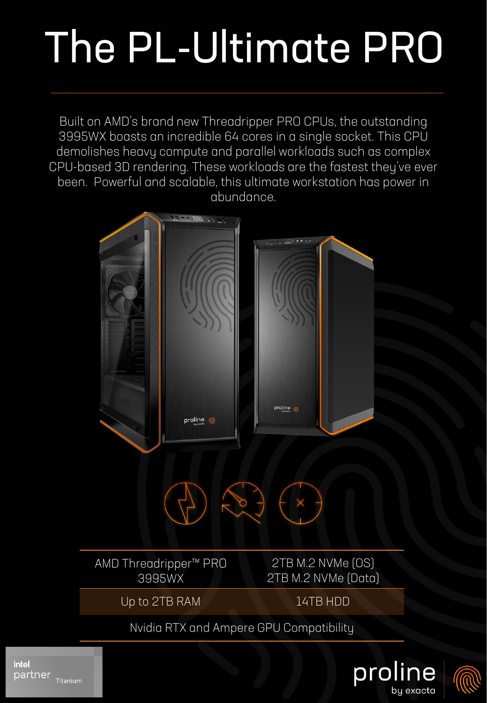## The PL-Ultimate PRO

Built on AMD's brand new Threadripper PRO CPUs, the outstanding 3995WX boasts an incredible 64 cores in a single socket. This CPU demolishes heavy compute and parallel workloads such as complex CPU-based 3D rendering. These workloads are the fastest they've ever been. Powerful and scalable, this ultimate workstation has power in abundance.